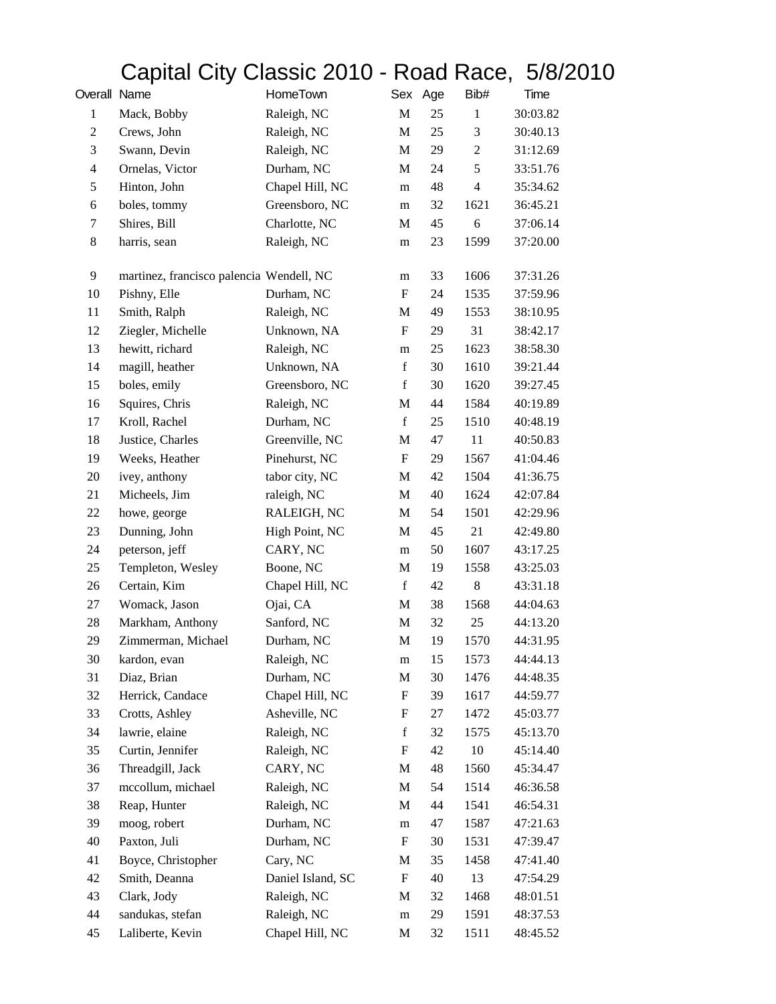## Capital City Classic 2010 - Road Race, 5/8/2010

| Overall Name            |                                          | HomeTown          |                  | Sex Age | Bib#           | Time     |
|-------------------------|------------------------------------------|-------------------|------------------|---------|----------------|----------|
| $\mathbf{1}$            | Mack, Bobby                              | Raleigh, NC       | M                | 25      | $\mathbf{1}$   | 30:03.82 |
| $\overline{c}$          | Crews, John                              | Raleigh, NC       | M                | 25      | 3              | 30:40.13 |
| 3                       | Swann, Devin                             | Raleigh, NC       | M                | 29      | $\overline{2}$ | 31:12.69 |
| $\overline{\mathbf{4}}$ | Ornelas, Victor                          | Durham, NC        | M                | 24      | 5              | 33:51.76 |
| 5                       | Hinton, John                             | Chapel Hill, NC   | m                | 48      | $\overline{4}$ | 35:34.62 |
| 6                       | boles, tommy                             | Greensboro, NC    | m                | 32      | 1621           | 36:45.21 |
| 7                       | Shires, Bill                             | Charlotte, NC     | M                | 45      | 6              | 37:06.14 |
| 8                       | harris, sean                             | Raleigh, NC       | m                | 23      | 1599           | 37:20.00 |
| 9                       | martinez, francisco palencia Wendell, NC |                   | m                | 33      | 1606           | 37:31.26 |
| 10                      | Pishny, Elle                             | Durham, NC        | F                | 24      | 1535           | 37:59.96 |
| 11                      | Smith, Ralph                             | Raleigh, NC       | M                | 49      | 1553           | 38:10.95 |
| 12                      | Ziegler, Michelle                        | Unknown, NA       | F                | 29      | 31             | 38:42.17 |
| 13                      | hewitt, richard                          | Raleigh, NC       | m                | 25      | 1623           | 38:58.30 |
| 14                      | magill, heather                          | Unknown, NA       | $\mathbf f$      | 30      | 1610           | 39:21.44 |
| 15                      | boles, emily                             | Greensboro, NC    | $\mathbf f$      | 30      | 1620           | 39:27.45 |
| 16                      | Squires, Chris                           | Raleigh, NC       | $\mathbf M$      | 44      | 1584           | 40:19.89 |
| 17                      | Kroll, Rachel                            | Durham, NC        | $\mathbf f$      | 25      | 1510           | 40:48.19 |
| 18                      | Justice, Charles                         | Greenville, NC    | M                | 47      | 11             | 40:50.83 |
| 19                      | Weeks, Heather                           | Pinehurst, NC     | $\mathbf F$      | 29      | 1567           | 41:04.46 |
| 20                      | ivey, anthony                            | tabor city, NC    | M                | 42      | 1504           | 41:36.75 |
| 21                      | Micheels, Jim                            | raleigh, NC       | M                | 40      | 1624           | 42:07.84 |
| 22                      | howe, george                             | RALEIGH, NC       | M                | 54      | 1501           | 42:29.96 |
| 23                      | Dunning, John                            | High Point, NC    | M                | 45      | 21             | 42:49.80 |
| 24                      | peterson, jeff                           | CARY, NC          | m                | 50      | 1607           | 43:17.25 |
| 25                      | Templeton, Wesley                        | Boone, NC         | M                | 19      | 1558           | 43:25.03 |
| 26                      | Certain, Kim                             | Chapel Hill, NC   | $\mathbf f$      | 42      | 8              | 43:31.18 |
| 27                      | Womack, Jason                            | Ojai, CA          | M                | 38      | 1568           | 44:04.63 |
| 28                      | Markham, Anthony                         | Sanford, NC       | M                | 32      | 25             | 44:13.20 |
| 29                      | Zimmerman, Michael                       | Durham, NC        | M                | 19      | 1570           | 44:31.95 |
| 30                      | kardon, evan                             | Raleigh, NC       | ${\bf m}$        | 15      | 1573           | 44:44.13 |
| 31                      | Diaz, Brian                              | Durham, NC        | $\mathbf M$      | 30      | 1476           | 44:48.35 |
| 32                      | Herrick, Candace                         | Chapel Hill, NC   | ${\bf F}$        | 39      | 1617           | 44:59.77 |
| 33                      | Crotts, Ashley                           | Asheville, NC     | $\boldsymbol{F}$ | 27      | 1472           | 45:03.77 |
| 34                      | lawrie, elaine                           | Raleigh, NC       | $\mathbf f$      | 32      | 1575           | 45:13.70 |
| 35                      | Curtin, Jennifer                         | Raleigh, NC       | $\boldsymbol{F}$ | 42      | 10             | 45:14.40 |
| 36                      | Threadgill, Jack                         | CARY, NC          | $\mathbf M$      | 48      | 1560           | 45:34.47 |
| 37                      | mccollum, michael                        | Raleigh, NC       | M                | 54      | 1514           | 46:36.58 |
| 38                      | Reap, Hunter                             | Raleigh, NC       | M                | 44      | 1541           | 46:54.31 |
| 39                      | moog, robert                             | Durham, NC        | m                | 47      | 1587           | 47:21.63 |
| 40                      | Paxton, Juli                             | Durham, NC        | ${\bf F}$        | 30      | 1531           | 47:39.47 |
| 41                      | Boyce, Christopher                       | Cary, NC          | M                | 35      | 1458           | 47:41.40 |
| 42                      | Smith, Deanna                            | Daniel Island, SC | ${\bf F}$        | 40      | 13             | 47:54.29 |
| 43                      | Clark, Jody                              | Raleigh, NC       | M                | 32      | 1468           | 48:01.51 |
| 44                      | sandukas, stefan                         | Raleigh, NC       | m                | 29      | 1591           | 48:37.53 |
| 45                      | Laliberte, Kevin                         | Chapel Hill, NC   | M                | 32      | 1511           | 48:45.52 |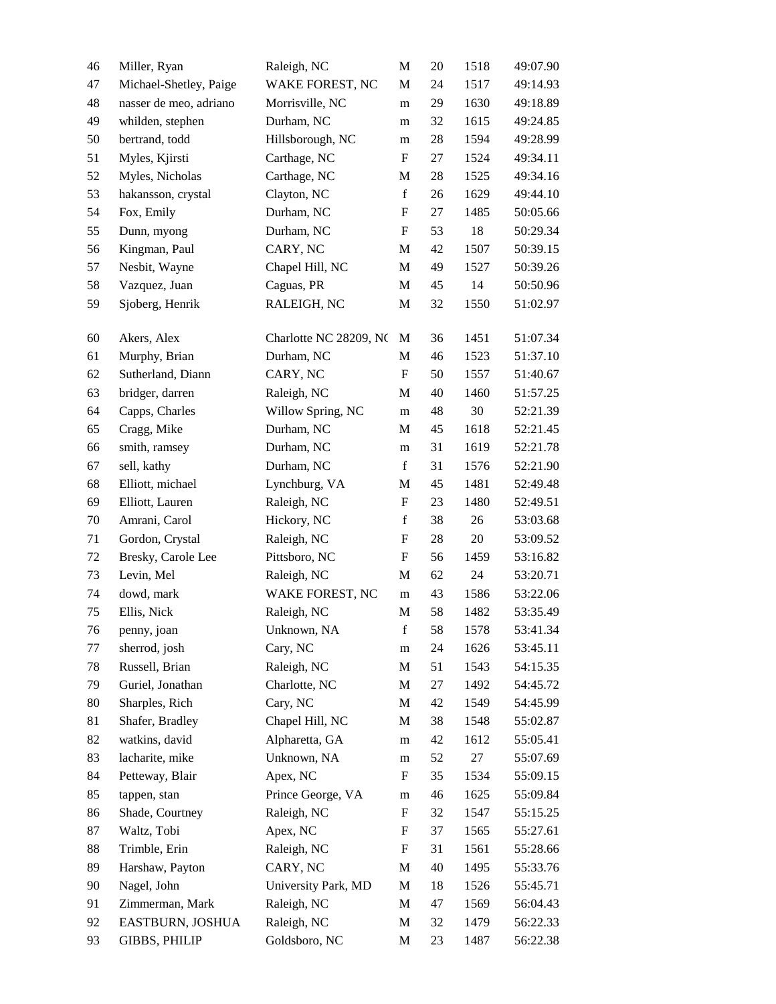| 46 | Miller, Ryan           | Raleigh, NC            | M                         | 20     | 1518 | 49:07.90 |
|----|------------------------|------------------------|---------------------------|--------|------|----------|
| 47 | Michael-Shetley, Paige | WAKE FOREST, NC        | M                         | 24     | 1517 | 49:14.93 |
| 48 | nasser de meo, adriano | Morrisville, NC        | m                         | 29     | 1630 | 49:18.89 |
| 49 | whilden, stephen       | Durham, NC             | m                         | 32     | 1615 | 49:24.85 |
| 50 | bertrand, todd         | Hillsborough, NC       | m                         | $28\,$ | 1594 | 49:28.99 |
| 51 | Myles, Kjirsti         | Carthage, NC           | F                         | 27     | 1524 | 49:34.11 |
| 52 | Myles, Nicholas        | Carthage, NC           | M                         | 28     | 1525 | 49:34.16 |
| 53 | hakansson, crystal     | Clayton, NC            | $\mathbf f$               | 26     | 1629 | 49:44.10 |
| 54 | Fox, Emily             | Durham, NC             | $\boldsymbol{\mathrm{F}}$ | 27     | 1485 | 50:05.66 |
| 55 | Dunn, myong            | Durham, NC             | $\boldsymbol{\mathrm{F}}$ | 53     | 18   | 50:29.34 |
| 56 | Kingman, Paul          | CARY, NC               | M                         | 42     | 1507 | 50:39.15 |
| 57 | Nesbit, Wayne          | Chapel Hill, NC        | M                         | 49     | 1527 | 50:39.26 |
| 58 | Vazquez, Juan          | Caguas, PR             | M                         | 45     | 14   | 50:50.96 |
| 59 | Sjoberg, Henrik        | RALEIGH, NC            | M                         | 32     | 1550 | 51:02.97 |
| 60 | Akers, Alex            | Charlotte NC 28209, NC | M                         | 36     | 1451 | 51:07.34 |
| 61 | Murphy, Brian          | Durham, NC             | M                         | 46     | 1523 | 51:37.10 |
| 62 | Sutherland, Diann      | CARY, NC               | $\mathbf F$               | 50     | 1557 | 51:40.67 |
| 63 | bridger, darren        | Raleigh, NC            | M                         | 40     | 1460 | 51:57.25 |
| 64 | Capps, Charles         | Willow Spring, NC      | m                         | 48     | 30   | 52:21.39 |
| 65 | Cragg, Mike            | Durham, NC             | M                         | 45     | 1618 | 52:21.45 |
| 66 | smith, ramsey          | Durham, NC             | m                         | 31     | 1619 | 52:21.78 |
| 67 | sell, kathy            | Durham, NC             | $\mathbf f$               | 31     | 1576 | 52:21.90 |
| 68 | Elliott, michael       | Lynchburg, VA          | M                         | 45     | 1481 | 52:49.48 |
| 69 | Elliott, Lauren        | Raleigh, NC            | F                         | 23     | 1480 | 52:49.51 |
| 70 | Amrani, Carol          | Hickory, NC            | $\mathbf f$               | 38     | 26   | 53:03.68 |
| 71 | Gordon, Crystal        | Raleigh, NC            | F                         | 28     | 20   | 53:09.52 |
| 72 | Bresky, Carole Lee     | Pittsboro, NC          | F                         | 56     | 1459 | 53:16.82 |
| 73 | Levin, Mel             | Raleigh, NC            | M                         | 62     | 24   | 53:20.71 |
| 74 | dowd, mark             | WAKE FOREST, NC        | m                         | 43     | 1586 | 53:22.06 |
| 75 | Ellis, Nick            | Raleigh, NC            | M                         | 58     | 1482 | 53:35.49 |
| 76 | penny, joan            | Unknown, NA            | $\mathbf f$               | 58     | 1578 | 53:41.34 |
| 77 | sherrod, josh          | Cary, NC               | m                         | 24     | 1626 | 53:45.11 |
| 78 | Russell, Brian         | Raleigh, NC            | M                         | 51     | 1543 | 54:15.35 |
| 79 | Guriel, Jonathan       | Charlotte, NC          | M                         | 27     | 1492 | 54:45.72 |
| 80 | Sharples, Rich         | Cary, NC               | M                         | 42     | 1549 | 54:45.99 |
| 81 | Shafer, Bradley        | Chapel Hill, NC        | M                         | 38     | 1548 | 55:02.87 |
| 82 | watkins, david         | Alpharetta, GA         | m                         | 42     | 1612 | 55:05.41 |
| 83 | lacharite, mike        | Unknown, NA            | m                         | 52     | 27   | 55:07.69 |
| 84 | Petteway, Blair        | Apex, NC               | F                         | 35     | 1534 | 55:09.15 |
| 85 | tappen, stan           | Prince George, VA      | m                         | 46     | 1625 | 55:09.84 |
| 86 | Shade, Courtney        | Raleigh, NC            | F                         | 32     | 1547 | 55:15.25 |
| 87 | Waltz, Tobi            | Apex, NC               | F                         | 37     | 1565 | 55:27.61 |
| 88 | Trimble, Erin          | Raleigh, NC            | F                         | 31     | 1561 | 55:28.66 |
| 89 | Harshaw, Payton        | CARY, NC               | M                         | 40     | 1495 | 55:33.76 |
| 90 | Nagel, John            | University Park, MD    | M                         | 18     | 1526 | 55:45.71 |
| 91 | Zimmerman, Mark        | Raleigh, NC            | M                         | 47     | 1569 | 56:04.43 |
| 92 | EASTBURN, JOSHUA       | Raleigh, NC            | M                         | 32     | 1479 | 56:22.33 |
| 93 | <b>GIBBS, PHILIP</b>   | Goldsboro, NC          | M                         | 23     | 1487 | 56:22.38 |
|    |                        |                        |                           |        |      |          |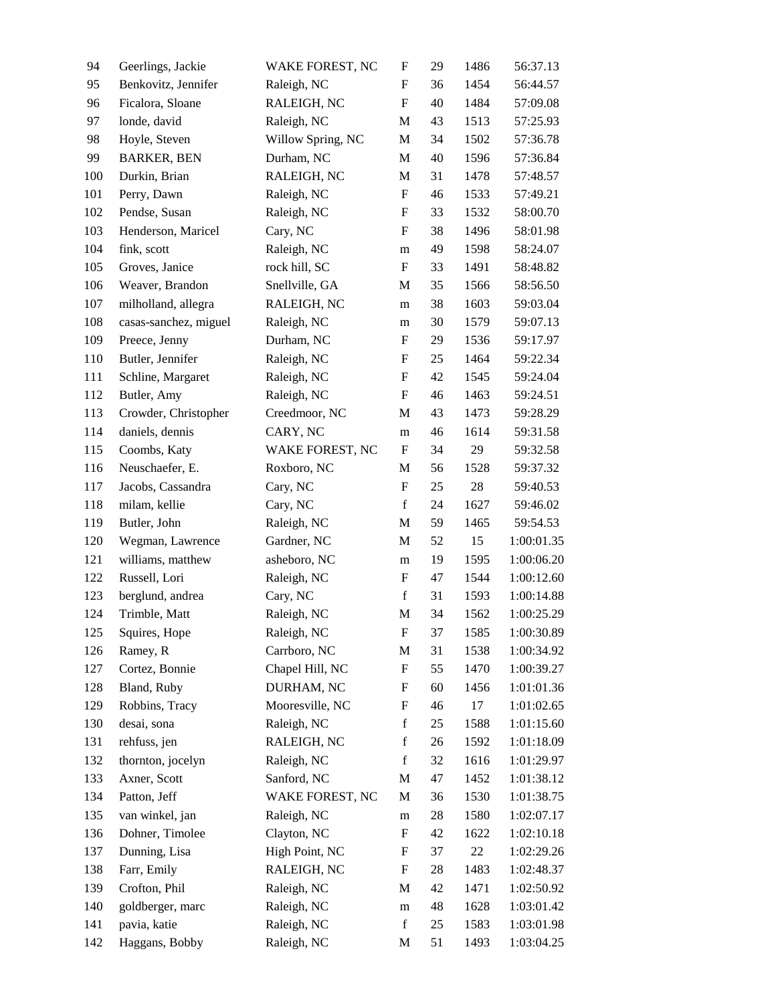| 94  | Geerlings, Jackie     | WAKE FOREST, NC   | F                         | 29 | 1486 | 56:37.13   |
|-----|-----------------------|-------------------|---------------------------|----|------|------------|
| 95  | Benkovitz, Jennifer   | Raleigh, NC       | F                         | 36 | 1454 | 56:44.57   |
| 96  | Ficalora, Sloane      | RALEIGH, NC       | $\boldsymbol{\mathrm{F}}$ | 40 | 1484 | 57:09.08   |
| 97  | londe, david          | Raleigh, NC       | M                         | 43 | 1513 | 57:25.93   |
| 98  | Hoyle, Steven         | Willow Spring, NC | M                         | 34 | 1502 | 57:36.78   |
| 99  | <b>BARKER, BEN</b>    | Durham, NC        | M                         | 40 | 1596 | 57:36.84   |
| 100 | Durkin, Brian         | RALEIGH, NC       | M                         | 31 | 1478 | 57:48.57   |
| 101 | Perry, Dawn           | Raleigh, NC       | $\boldsymbol{\mathrm{F}}$ | 46 | 1533 | 57:49.21   |
| 102 | Pendse, Susan         | Raleigh, NC       | $\boldsymbol{F}$          | 33 | 1532 | 58:00.70   |
| 103 | Henderson, Maricel    | Cary, NC          | $\boldsymbol{\mathrm{F}}$ | 38 | 1496 | 58:01.98   |
| 104 | fink, scott           | Raleigh, NC       | m                         | 49 | 1598 | 58:24.07   |
| 105 | Groves, Janice        | rock hill, SC     | F                         | 33 | 1491 | 58:48.82   |
| 106 | Weaver, Brandon       | Snellville, GA    | M                         | 35 | 1566 | 58:56.50   |
| 107 | milholland, allegra   | RALEIGH, NC       | m                         | 38 | 1603 | 59:03.04   |
| 108 | casas-sanchez, miguel | Raleigh, NC       | m                         | 30 | 1579 | 59:07.13   |
| 109 | Preece, Jenny         | Durham, NC        | F                         | 29 | 1536 | 59:17.97   |
| 110 | Butler, Jennifer      | Raleigh, NC       | F                         | 25 | 1464 | 59:22.34   |
| 111 | Schline, Margaret     | Raleigh, NC       | $\boldsymbol{\mathrm{F}}$ | 42 | 1545 | 59:24.04   |
| 112 | Butler, Amy           | Raleigh, NC       | F                         | 46 | 1463 | 59:24.51   |
| 113 | Crowder, Christopher  | Creedmoor, NC     | M                         | 43 | 1473 | 59:28.29   |
| 114 | daniels, dennis       | CARY, NC          | m                         | 46 | 1614 | 59:31.58   |
| 115 | Coombs, Katy          | WAKE FOREST, NC   | $\boldsymbol{F}$          | 34 | 29   | 59:32.58   |
| 116 | Neuschaefer, E.       | Roxboro, NC       | M                         | 56 | 1528 | 59:37.32   |
| 117 | Jacobs, Cassandra     | Cary, NC          | $\boldsymbol{\mathrm{F}}$ | 25 | 28   | 59:40.53   |
| 118 | milam, kellie         | Cary, NC          | $\mathbf f$               | 24 | 1627 | 59:46.02   |
| 119 | Butler, John          | Raleigh, NC       | M                         | 59 | 1465 | 59:54.53   |
| 120 | Wegman, Lawrence      | Gardner, NC       | M                         | 52 | 15   | 1:00:01.35 |
| 121 | williams, matthew     | asheboro, NC      | m                         | 19 | 1595 | 1:00:06.20 |
| 122 | Russell, Lori         | Raleigh, NC       | $\boldsymbol{F}$          | 47 | 1544 | 1:00:12.60 |
| 123 | berglund, andrea      | Cary, NC          | $\mathbf f$               | 31 | 1593 | 1:00:14.88 |
| 124 | Trimble, Matt         | Raleigh, NC       | M                         | 34 | 1562 | 1:00:25.29 |
| 125 | Squires, Hope         | Raleigh, NC       | $\boldsymbol{\mathrm{F}}$ | 37 | 1585 | 1:00:30.89 |
| 126 | Ramey, R              | Carrboro, NC      | M                         | 31 | 1538 | 1:00:34.92 |
| 127 | Cortez, Bonnie        | Chapel Hill, NC   | $\boldsymbol{F}$          | 55 | 1470 | 1:00:39.27 |
| 128 | Bland, Ruby           | DURHAM, NC        | $\boldsymbol{F}$          | 60 | 1456 | 1:01:01.36 |
| 129 | Robbins, Tracy        | Mooresville, NC   | F                         | 46 | 17   | 1:01:02.65 |
| 130 | desai, sona           | Raleigh, NC       | $\mathbf f$               | 25 | 1588 | 1:01:15.60 |
| 131 | rehfuss, jen          | RALEIGH, NC       | $\mathbf f$               | 26 | 1592 | 1:01:18.09 |
| 132 | thornton, jocelyn     | Raleigh, NC       | f                         | 32 | 1616 | 1:01:29.97 |
| 133 | Axner, Scott          | Sanford, NC       | M                         | 47 | 1452 | 1:01:38.12 |
| 134 | Patton, Jeff          | WAKE FOREST, NC   | M                         | 36 | 1530 | 1:01:38.75 |
| 135 | van winkel, jan       | Raleigh, NC       | ${\rm m}$                 | 28 | 1580 | 1:02:07.17 |
| 136 | Dohner, Timolee       | Clayton, NC       | $\boldsymbol{F}$          | 42 | 1622 | 1:02:10.18 |
| 137 | Dunning, Lisa         | High Point, NC    | F                         | 37 | 22   | 1:02:29.26 |
| 138 | Farr, Emily           | RALEIGH, NC       | $\boldsymbol{F}$          | 28 | 1483 | 1:02:48.37 |
| 139 | Crofton, Phil         | Raleigh, NC       | M                         | 42 | 1471 | 1:02:50.92 |
| 140 | goldberger, marc      | Raleigh, NC       | ${\rm m}$                 | 48 | 1628 | 1:03:01.42 |
| 141 | pavia, katie          | Raleigh, NC       | $\mathbf f$               | 25 | 1583 | 1:03:01.98 |
| 142 | Haggans, Bobby        | Raleigh, NC       | M                         | 51 | 1493 | 1:03:04.25 |
|     |                       |                   |                           |    |      |            |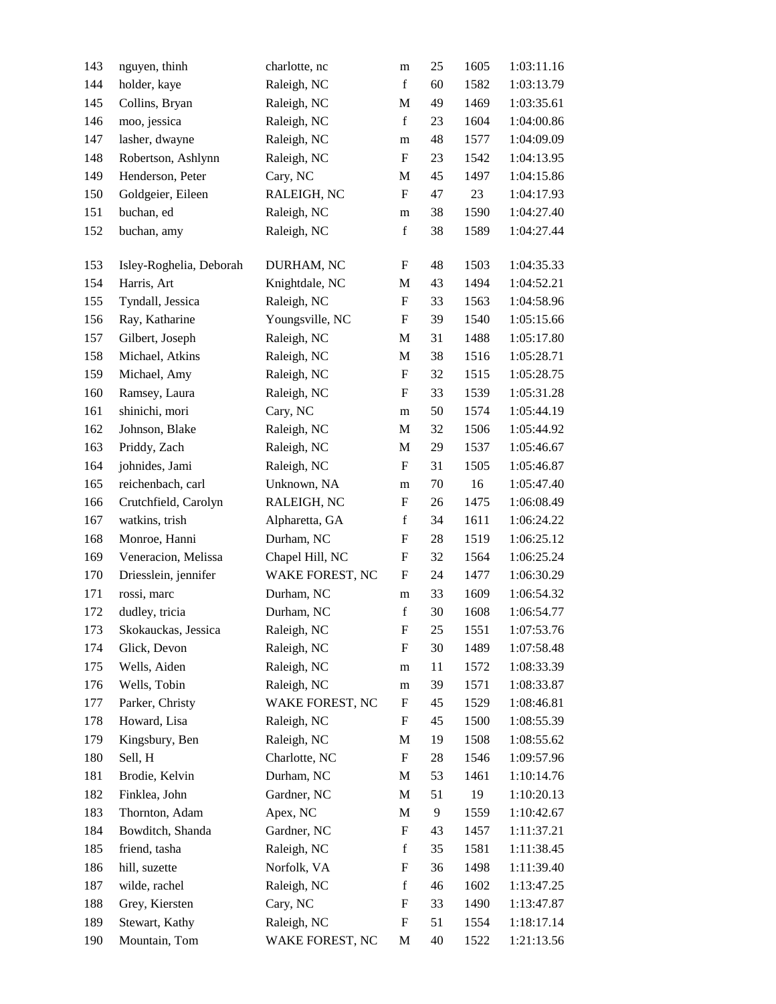| 143 | nguyen, thinh           | charlotte, nc   | m                         | 25     | 1605 | 1:03:11.16 |
|-----|-------------------------|-----------------|---------------------------|--------|------|------------|
| 144 | holder, kaye            | Raleigh, NC     | $\mathbf f$               | 60     | 1582 | 1:03:13.79 |
| 145 | Collins, Bryan          | Raleigh, NC     | M                         | 49     | 1469 | 1:03:35.61 |
| 146 | moo, jessica            | Raleigh, NC     | $\mathbf f$               | 23     | 1604 | 1:04:00.86 |
| 147 | lasher, dwayne          | Raleigh, NC     | ${\rm m}$                 | 48     | 1577 | 1:04:09.09 |
| 148 | Robertson, Ashlynn      | Raleigh, NC     | ${\bf F}$                 | 23     | 1542 | 1:04:13.95 |
| 149 | Henderson, Peter        | Cary, NC        | M                         | 45     | 1497 | 1:04:15.86 |
| 150 | Goldgeier, Eileen       | RALEIGH, NC     | ${\bf F}$                 | 47     | 23   | 1:04:17.93 |
| 151 | buchan, ed              | Raleigh, NC     | m                         | 38     | 1590 | 1:04:27.40 |
| 152 | buchan, amy             | Raleigh, NC     | $\mathbf f$               | 38     | 1589 | 1:04:27.44 |
|     |                         |                 |                           |        |      |            |
| 153 | Isley-Roghelia, Deborah | DURHAM, NC      | F                         | 48     | 1503 | 1:04:35.33 |
| 154 | Harris, Art             | Knightdale, NC  | M                         | 43     | 1494 | 1:04:52.21 |
| 155 | Tyndall, Jessica        | Raleigh, NC     | $\boldsymbol{\mathrm{F}}$ | 33     | 1563 | 1:04:58.96 |
| 156 | Ray, Katharine          | Youngsville, NC | F                         | 39     | 1540 | 1:05:15.66 |
| 157 | Gilbert, Joseph         | Raleigh, NC     | M                         | 31     | 1488 | 1:05:17.80 |
| 158 | Michael, Atkins         | Raleigh, NC     | M                         | 38     | 1516 | 1:05:28.71 |
| 159 | Michael, Amy            | Raleigh, NC     | $\boldsymbol{\mathrm{F}}$ | 32     | 1515 | 1:05:28.75 |
| 160 | Ramsey, Laura           | Raleigh, NC     | $\boldsymbol{\mathrm{F}}$ | 33     | 1539 | 1:05:31.28 |
| 161 | shinichi, mori          | Cary, NC        | m                         | 50     | 1574 | 1:05:44.19 |
| 162 | Johnson, Blake          | Raleigh, NC     | M                         | 32     | 1506 | 1:05:44.92 |
| 163 | Priddy, Zach            | Raleigh, NC     | M                         | 29     | 1537 | 1:05:46.67 |
| 164 | johnides, Jami          | Raleigh, NC     | F                         | 31     | 1505 | 1:05:46.87 |
| 165 | reichenbach, carl       | Unknown, NA     | m                         | 70     | 16   | 1:05:47.40 |
| 166 | Crutchfield, Carolyn    | RALEIGH, NC     | $\mathbf F$               | 26     | 1475 | 1:06:08.49 |
| 167 | watkins, trish          | Alpharetta, GA  | $\mathbf f$               | 34     | 1611 | 1:06:24.22 |
| 168 | Monroe, Hanni           | Durham, NC      | F                         | $28\,$ | 1519 | 1:06:25.12 |
| 169 | Veneracion, Melissa     | Chapel Hill, NC | $\boldsymbol{\mathrm{F}}$ | 32     | 1564 | 1:06:25.24 |
| 170 | Driesslein, jennifer    | WAKE FOREST, NC | $\boldsymbol{\mathrm{F}}$ | 24     | 1477 | 1:06:30.29 |
| 171 | rossi, marc             | Durham, NC      | m                         | 33     | 1609 | 1:06:54.32 |
| 172 | dudley, tricia          | Durham, NC      | $\mathbf f$               | 30     | 1608 | 1:06:54.77 |
| 173 | Skokauckas, Jessica     | Raleigh, NC     | $\boldsymbol{\mathrm{F}}$ | 25     | 1551 | 1:07:53.76 |
| 174 | Glick, Devon            | Raleigh, NC     | $\mathbf F$               | 30     | 1489 | 1:07:58.48 |
| 175 | Wells, Aiden            | Raleigh, NC     | m                         | 11     | 1572 | 1:08:33.39 |
| 176 | Wells, Tobin            | Raleigh, NC     | m                         | 39     | 1571 | 1:08:33.87 |
| 177 | Parker, Christy         | WAKE FOREST, NC | $\mathbf F$               | 45     | 1529 | 1:08:46.81 |
| 178 | Howard, Lisa            | Raleigh, NC     | $\mathbf F$               | 45     | 1500 | 1:08:55.39 |
| 179 | Kingsbury, Ben          | Raleigh, NC     | M                         | 19     | 1508 | 1:08:55.62 |
| 180 | Sell, H                 | Charlotte, NC   | $\boldsymbol{\mathrm{F}}$ | 28     | 1546 | 1:09:57.96 |
| 181 | Brodie, Kelvin          | Durham, NC      | M                         | 53     | 1461 | 1:10:14.76 |
| 182 | Finklea, John           | Gardner, NC     | M                         | 51     | 19   | 1:10:20.13 |
| 183 | Thornton, Adam          | Apex, NC        | M                         | 9      | 1559 | 1:10:42.67 |
| 184 | Bowditch, Shanda        | Gardner, NC     | $\mathbf F$               | 43     | 1457 | 1:11:37.21 |
| 185 | friend, tasha           | Raleigh, NC     | $\mathbf f$               | 35     | 1581 | 1:11:38.45 |
| 186 | hill, suzette           | Norfolk, VA     | $\boldsymbol{F}$          | 36     | 1498 | 1:11:39.40 |
| 187 | wilde, rachel           | Raleigh, NC     | $\mathbf f$               | 46     | 1602 | 1:13:47.25 |
| 188 | Grey, Kiersten          | Cary, NC        | $\boldsymbol{F}$          | 33     | 1490 | 1:13:47.87 |
| 189 | Stewart, Kathy          | Raleigh, NC     | $\mathbf F$               | 51     | 1554 | 1:18:17.14 |
| 190 | Mountain, Tom           | WAKE FOREST, NC | $\mathbf M$               | 40     | 1522 | 1:21:13.56 |